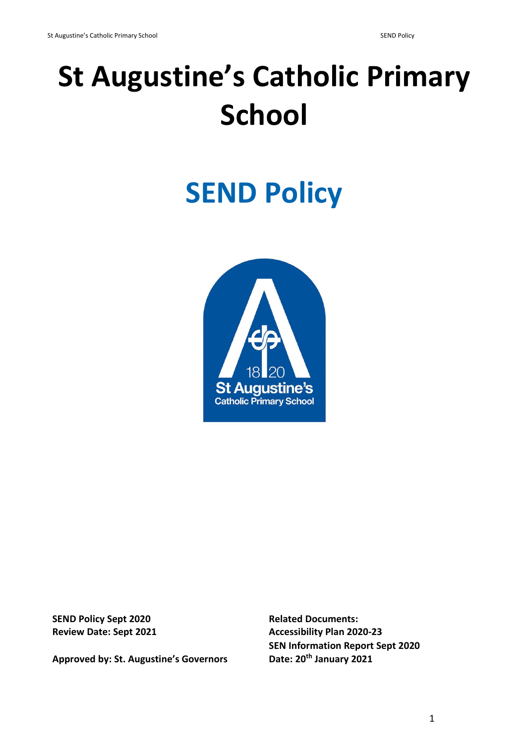# **St Augustine's Catholic Primary School**

## **SEND Policy**



**SEND Policy Sept 2020 Related Documents:** 

**Approved by: St. Augustine's Governors** 

**Review Date: Sept 2021 Accessibility Plan 2020-23 SEN Information Report Sept 2020**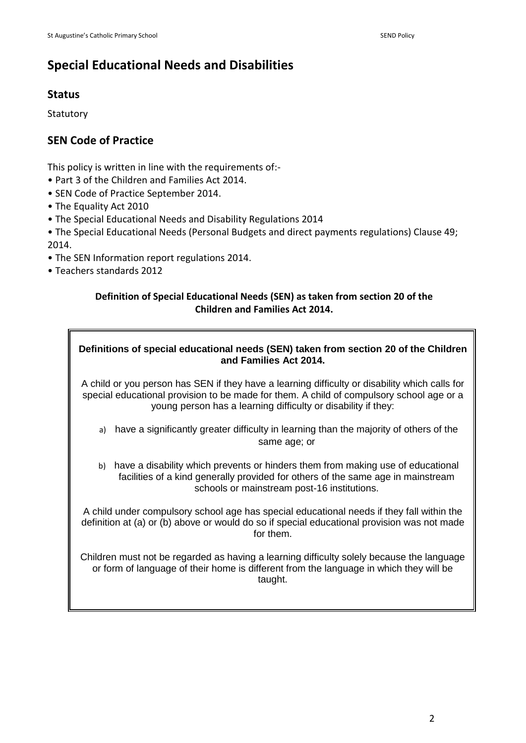## **Special Educational Needs and Disabilities**

## **Status**

**Statutory** 

## **SEN Code of Practice**

This policy is written in line with the requirements of:-

- Part 3 of the Children and Families Act 2014.
- SEN Code of Practice September 2014.
- The Equality Act 2010
- The Special Educational Needs and Disability Regulations 2014

• The Special Educational Needs (Personal Budgets and direct payments regulations) Clause 49; 2014.

- The SEN Information report regulations 2014.
- Teachers standards 2012

### **Definition of Special Educational Needs (SEN) as taken from section 20 of the Children and Families Act 2014.**

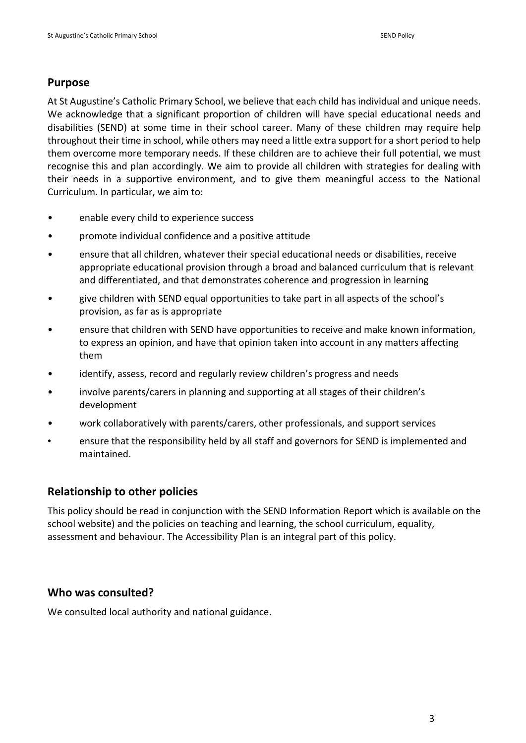## **Purpose**

At St Augustine's Catholic Primary School, we believe that each child has individual and unique needs. We acknowledge that a significant proportion of children will have special educational needs and disabilities (SEND) at some time in their school career. Many of these children may require help throughout their time in school, while others may need a little extra support for a short period to help them overcome more temporary needs. If these children are to achieve their full potential, we must recognise this and plan accordingly. We aim to provide all children with strategies for dealing with their needs in a supportive environment, and to give them meaningful access to the National Curriculum. In particular, we aim to:

- enable every child to experience success
- promote individual confidence and a positive attitude
- ensure that all children, whatever their special educational needs or disabilities, receive appropriate educational provision through a broad and balanced curriculum that is relevant and differentiated, and that demonstrates coherence and progression in learning
- give children with SEND equal opportunities to take part in all aspects of the school's provision, as far as is appropriate
- ensure that children with SEND have opportunities to receive and make known information, to express an opinion, and have that opinion taken into account in any matters affecting them
- identify, assess, record and regularly review children's progress and needs
- involve parents/carers in planning and supporting at all stages of their children's development
- work collaboratively with parents/carers, other professionals, and support services
- ensure that the responsibility held by all staff and governors for SEND is implemented and maintained.

## **Relationship to other policies**

This policy should be read in conjunction with the SEND Information Report which is available on the school website) and the policies on teaching and learning, the school curriculum, equality, assessment and behaviour. The Accessibility Plan is an integral part of this policy.

#### **Who was consulted?**

We consulted local authority and national guidance.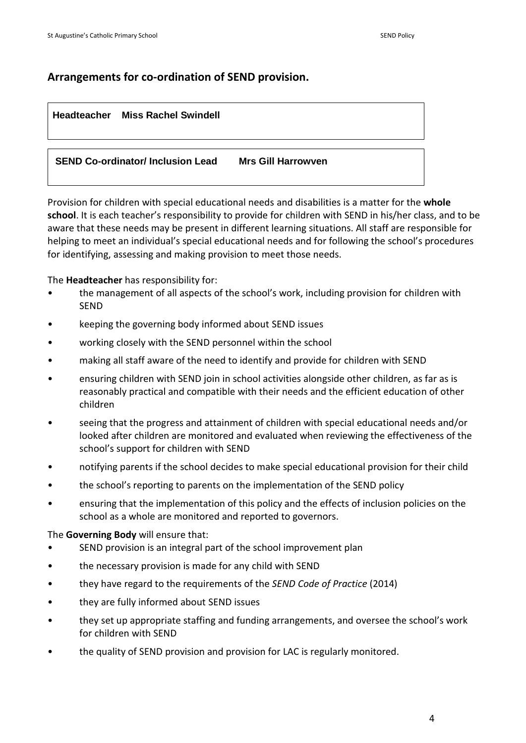## **Arrangements for co-ordination of SEND provision.**

#### **Headteacher Miss Rachel Swindell**

**SEND Co-ordinator/ Inclusion Lead Mrs Gill Harrowven**

Provision for children with special educational needs and disabilities is a matter for the **whole school**. It is each teacher's responsibility to provide for children with SEND in his/her class, and to be aware that these needs may be present in different learning situations. All staff are responsible for helping to meet an individual's special educational needs and for following the school's procedures for identifying, assessing and making provision to meet those needs.

The **Headteacher** has responsibility for:

- the management of all aspects of the school's work, including provision for children with SEND
- keeping the governing body informed about SEND issues
- working closely with the SEND personnel within the school
- making all staff aware of the need to identify and provide for children with SEND
- ensuring children with SEND join in school activities alongside other children, as far as is reasonably practical and compatible with their needs and the efficient education of other children
- seeing that the progress and attainment of children with special educational needs and/or looked after children are monitored and evaluated when reviewing the effectiveness of the school's support for children with SEND
- notifying parents if the school decides to make special educational provision for their child
- the school's reporting to parents on the implementation of the SEND policy
- ensuring that the implementation of this policy and the effects of inclusion policies on the school as a whole are monitored and reported to governors.

The **Governing Body** will ensure that:

- SEND provision is an integral part of the school improvement plan
- the necessary provision is made for any child with SEND
- they have regard to the requirements of the *SEND Code of Practice* (2014)
- they are fully informed about SEND issues
- they set up appropriate staffing and funding arrangements, and oversee the school's work for children with SEND
- the quality of SEND provision and provision for LAC is regularly monitored.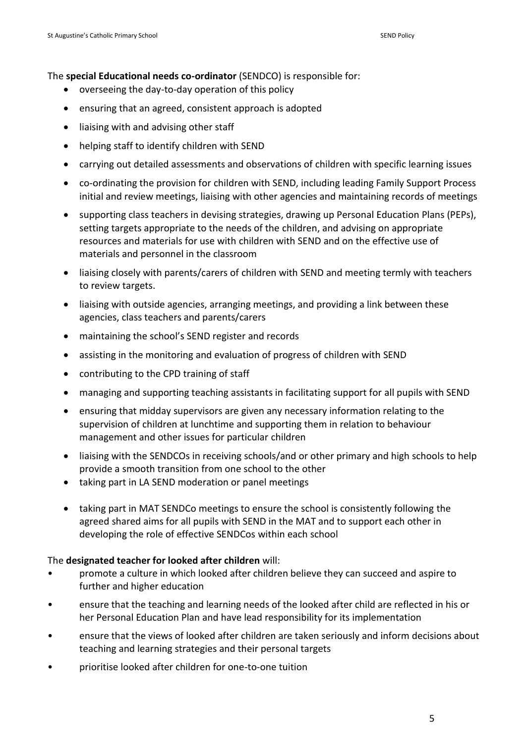The **special Educational needs co-ordinator** (SENDCO) is responsible for:

- overseeing the day-to-day operation of this policy
- ensuring that an agreed, consistent approach is adopted
- liaising with and advising other staff
- helping staff to identify children with SEND
- carrying out detailed assessments and observations of children with specific learning issues
- co-ordinating the provision for children with SEND, including leading Family Support Process initial and review meetings, liaising with other agencies and maintaining records of meetings
- supporting class teachers in devising strategies, drawing up Personal Education Plans (PEPs), setting targets appropriate to the needs of the children, and advising on appropriate resources and materials for use with children with SEND and on the effective use of materials and personnel in the classroom
- liaising closely with parents/carers of children with SEND and meeting termly with teachers to review targets.
- liaising with outside agencies, arranging meetings, and providing a link between these agencies, class teachers and parents/carers
- maintaining the school's SEND register and records
- assisting in the monitoring and evaluation of progress of children with SEND
- contributing to the CPD training of staff
- managing and supporting teaching assistants in facilitating support for all pupils with SEND
- ensuring that midday supervisors are given any necessary information relating to the supervision of children at lunchtime and supporting them in relation to behaviour management and other issues for particular children
- liaising with the SENDCOs in receiving schools/and or other primary and high schools to help provide a smooth transition from one school to the other
- taking part in LA SEND moderation or panel meetings
- taking part in MAT SENDCo meetings to ensure the school is consistently following the agreed shared aims for all pupils with SEND in the MAT and to support each other in developing the role of effective SENDCos within each school

#### The **designated teacher for looked after children** will:

- promote a culture in which looked after children believe they can succeed and aspire to further and higher education
- ensure that the teaching and learning needs of the looked after child are reflected in his or her Personal Education Plan and have lead responsibility for its implementation
- ensure that the views of looked after children are taken seriously and inform decisions about teaching and learning strategies and their personal targets
- prioritise looked after children for one-to-one tuition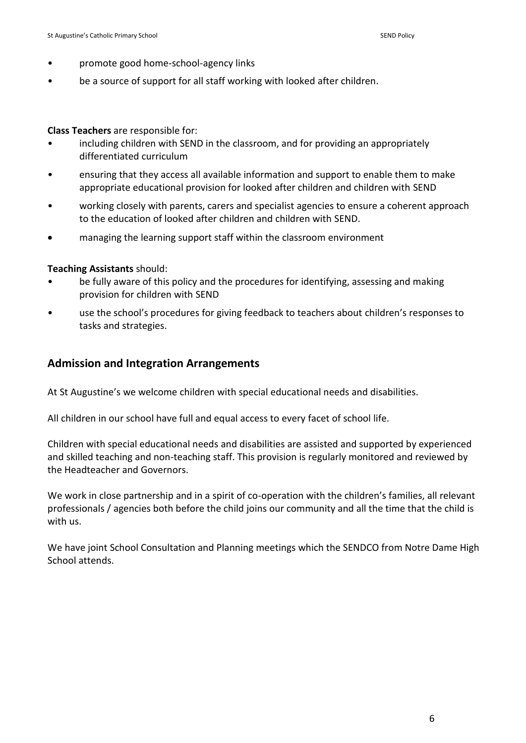- promote good home-school-agency links
- be a source of support for all staff working with looked after children.

#### **Class Teachers** are responsible for:

- including children with SEND in the classroom, and for providing an appropriately differentiated curriculum
- ensuring that they access all available information and support to enable them to make appropriate educational provision for looked after children and children with SEND
- working closely with parents, carers and specialist agencies to ensure a coherent approach to the education of looked after children and children with SEND.
- managing the learning support staff within the classroom environment

#### **Teaching Assistants** should:

- be fully aware of this policy and the procedures for identifying, assessing and making provision for children with SEND
- use the school's procedures for giving feedback to teachers about children's responses to tasks and strategies.

#### **Admission and Integration Arrangements**

At St Augustine's we welcome children with special educational needs and disabilities.

All children in our school have full and equal access to every facet of school life.

Children with special educational needs and disabilities are assisted and supported by experienced and skilled teaching and non-teaching staff. This provision is regularly monitored and reviewed by the Headteacher and Governors.

We work in close partnership and in a spirit of co-operation with the children's families, all relevant professionals / agencies both before the child joins our community and all the time that the child is with us.

We have joint School Consultation and Planning meetings which the SENDCO from Notre Dame High School attends.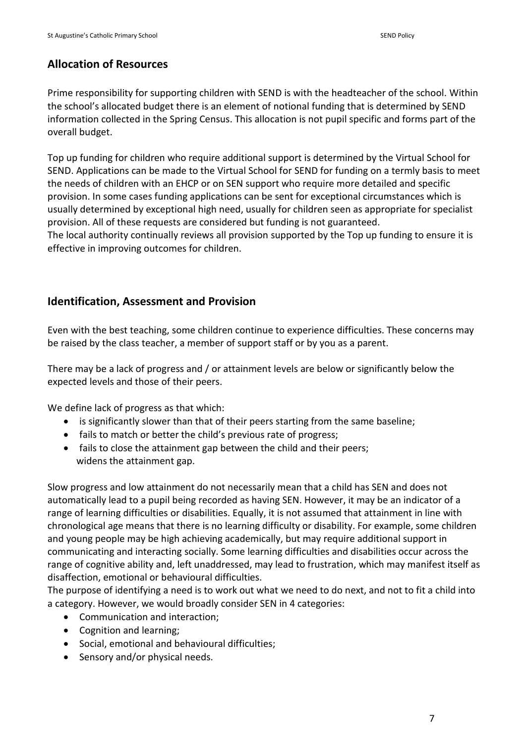## **Allocation of Resources**

Prime responsibility for supporting children with SEND is with the headteacher of the school. Within the school's allocated budget there is an element of notional funding that is determined by SEND information collected in the Spring Census. This allocation is not pupil specific and forms part of the overall budget.

Top up funding for children who require additional support is determined by the Virtual School for SEND. Applications can be made to the Virtual School for SEND for funding on a termly basis to meet the needs of children with an EHCP or on SEN support who require more detailed and specific provision. In some cases funding applications can be sent for exceptional circumstances which is usually determined by exceptional high need, usually for children seen as appropriate for specialist provision. All of these requests are considered but funding is not guaranteed.

The local authority continually reviews all provision supported by the Top up funding to ensure it is effective in improving outcomes for children.

## **Identification, Assessment and Provision**

Even with the best teaching, some children continue to experience difficulties. These concerns may be raised by the class teacher, a member of support staff or by you as a parent.

There may be a lack of progress and / or attainment levels are below or significantly below the expected levels and those of their peers.

We define lack of progress as that which:

- is significantly slower than that of their peers starting from the same baseline;
- fails to match or better the child's previous rate of progress;
- fails to close the attainment gap between the child and their peers; widens the attainment gap.

Slow progress and low attainment do not necessarily mean that a child has SEN and does not automatically lead to a pupil being recorded as having SEN. However, it may be an indicator of a range of learning difficulties or disabilities. Equally, it is not assumed that attainment in line with chronological age means that there is no learning difficulty or disability. For example, some children and young people may be high achieving academically, but may require additional support in communicating and interacting socially. Some learning difficulties and disabilities occur across the range of cognitive ability and, left unaddressed, may lead to frustration, which may manifest itself as disaffection, emotional or behavioural difficulties.

The purpose of identifying a need is to work out what we need to do next, and not to fit a child into a category. However, we would broadly consider SEN in 4 categories:

- Communication and interaction;
- Cognition and learning;
- Social, emotional and behavioural difficulties;
- Sensory and/or physical needs.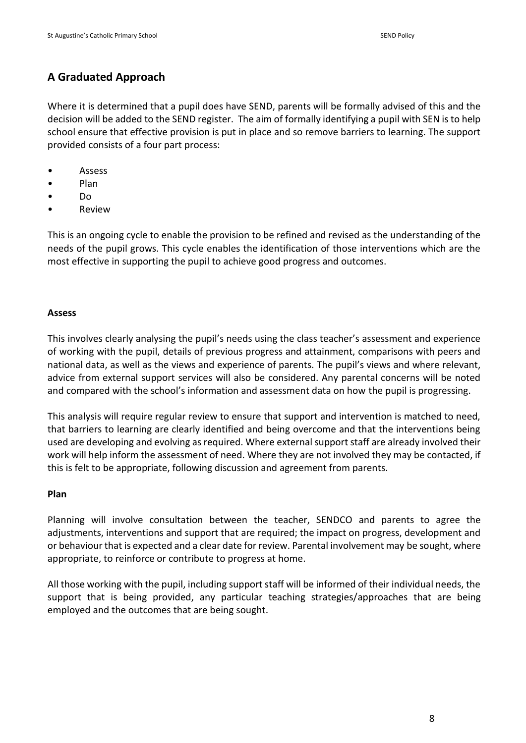## **A Graduated Approach**

Where it is determined that a pupil does have SEND, parents will be formally advised of this and the decision will be added to the SEND register. The aim of formally identifying a pupil with SEN is to help school ensure that effective provision is put in place and so remove barriers to learning. The support provided consists of a four part process:

- **Assess**
- Plan
- Do
- Review

This is an ongoing cycle to enable the provision to be refined and revised as the understanding of the needs of the pupil grows. This cycle enables the identification of those interventions which are the most effective in supporting the pupil to achieve good progress and outcomes.

#### **Assess**

This involves clearly analysing the pupil's needs using the class teacher's assessment and experience of working with the pupil, details of previous progress and attainment, comparisons with peers and national data, as well as the views and experience of parents. The pupil's views and where relevant, advice from external support services will also be considered. Any parental concerns will be noted and compared with the school's information and assessment data on how the pupil is progressing.

This analysis will require regular review to ensure that support and intervention is matched to need, that barriers to learning are clearly identified and being overcome and that the interventions being used are developing and evolving as required. Where external support staff are already involved their work will help inform the assessment of need. Where they are not involved they may be contacted, if this is felt to be appropriate, following discussion and agreement from parents.

#### **Plan**

Planning will involve consultation between the teacher, SENDCO and parents to agree the adjustments, interventions and support that are required; the impact on progress, development and or behaviour that is expected and a clear date for review. Parental involvement may be sought, where appropriate, to reinforce or contribute to progress at home.

All those working with the pupil, including support staff will be informed of their individual needs, the support that is being provided, any particular teaching strategies/approaches that are being employed and the outcomes that are being sought.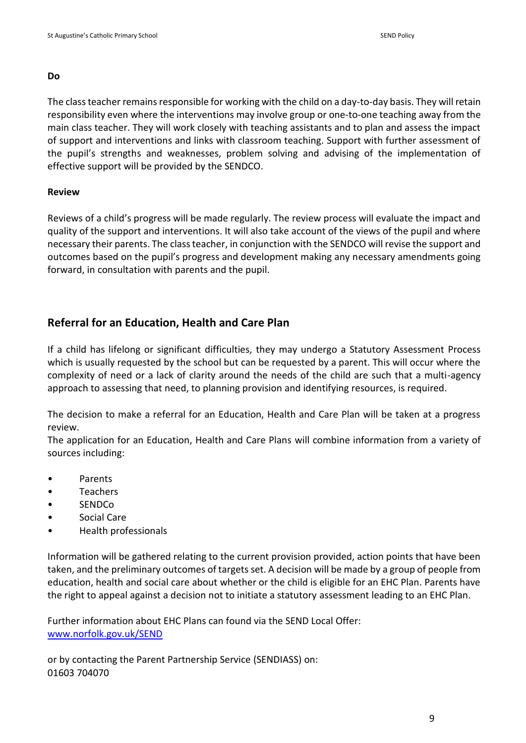#### **Do**

The class teacher remains responsible for working with the child on a day-to-day basis. They will retain responsibility even where the interventions may involve group or one-to-one teaching away from the main class teacher. They will work closely with teaching assistants and to plan and assess the impact of support and interventions and links with classroom teaching. Support with further assessment of the pupil's strengths and weaknesses, problem solving and advising of the implementation of effective support will be provided by the SENDCO.

#### **Review**

Reviews of a child's progress will be made regularly. The review process will evaluate the impact and quality of the support and interventions. It will also take account of the views of the pupil and where necessary their parents. The class teacher, in conjunction with the SENDCO will revise the support and outcomes based on the pupil's progress and development making any necessary amendments going forward, in consultation with parents and the pupil.

## **Referral for an Education, Health and Care Plan**

If a child has lifelong or significant difficulties, they may undergo a Statutory Assessment Process which is usually requested by the school but can be requested by a parent. This will occur where the complexity of need or a lack of clarity around the needs of the child are such that a multi-agency approach to assessing that need, to planning provision and identifying resources, is required.

The decision to make a referral for an Education, Health and Care Plan will be taken at a progress review.

The application for an Education, Health and Care Plans will combine information from a variety of sources including:

- Parents
- Teachers
- SENDCo
- Social Care
- Health professionals

Information will be gathered relating to the current provision provided, action points that have been taken, and the preliminary outcomes of targets set. A decision will be made by a group of people from education, health and social care about whether or the child is eligible for an EHC Plan. Parents have the right to appeal against a decision not to initiate a statutory assessment leading to an EHC Plan.

Further information about EHC Plans can found via the SEND Local Offer: [www.norfolk.gov.uk/SEND](http://www.norfolk.gov.uk/SEND)

or by contacting the Parent Partnership Service (SENDIASS) on: 01603 704070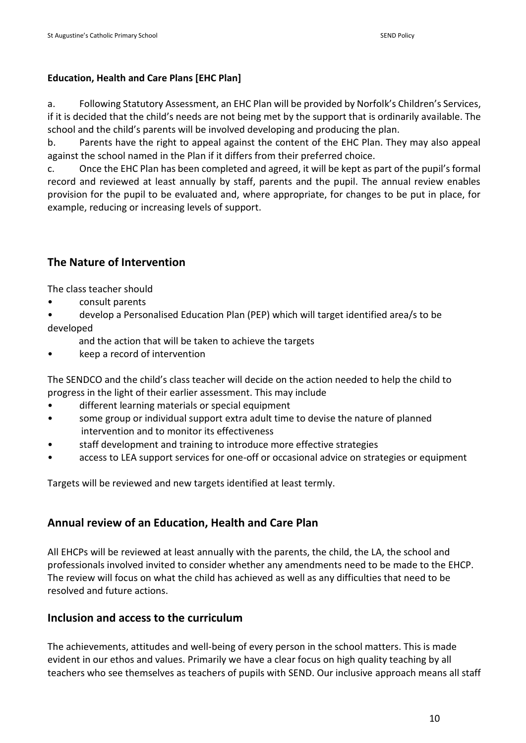#### **Education, Health and Care Plans [EHC Plan]**

a. Following Statutory Assessment, an EHC Plan will be provided by Norfolk's Children's Services, if it is decided that the child's needs are not being met by the support that is ordinarily available. The school and the child's parents will be involved developing and producing the plan.

b. Parents have the right to appeal against the content of the EHC Plan. They may also appeal against the school named in the Plan if it differs from their preferred choice.

c. Once the EHC Plan has been completed and agreed, it will be kept as part of the pupil's formal record and reviewed at least annually by staff, parents and the pupil. The annual review enables provision for the pupil to be evaluated and, where appropriate, for changes to be put in place, for example, reducing or increasing levels of support.

## **The Nature of Intervention**

The class teacher should

- consult parents
- develop a Personalised Education Plan (PEP) which will target identified area/s to be developed
	- and the action that will be taken to achieve the targets
- keep a record of intervention

The SENDCO and the child's class teacher will decide on the action needed to help the child to progress in the light of their earlier assessment. This may include

- different learning materials or special equipment
- some group or individual support extra adult time to devise the nature of planned intervention and to monitor its effectiveness
- staff development and training to introduce more effective strategies
- access to LEA support services for one-off or occasional advice on strategies or equipment

Targets will be reviewed and new targets identified at least termly.

## **Annual review of an Education, Health and Care Plan**

All EHCPs will be reviewed at least annually with the parents, the child, the LA, the school and professionals involved invited to consider whether any amendments need to be made to the EHCP. The review will focus on what the child has achieved as well as any difficulties that need to be resolved and future actions.

## **Inclusion and access to the curriculum**

The achievements, attitudes and well-being of every person in the school matters. This is made evident in our ethos and values. Primarily we have a clear focus on high quality teaching by all teachers who see themselves as teachers of pupils with SEND. Our inclusive approach means all staff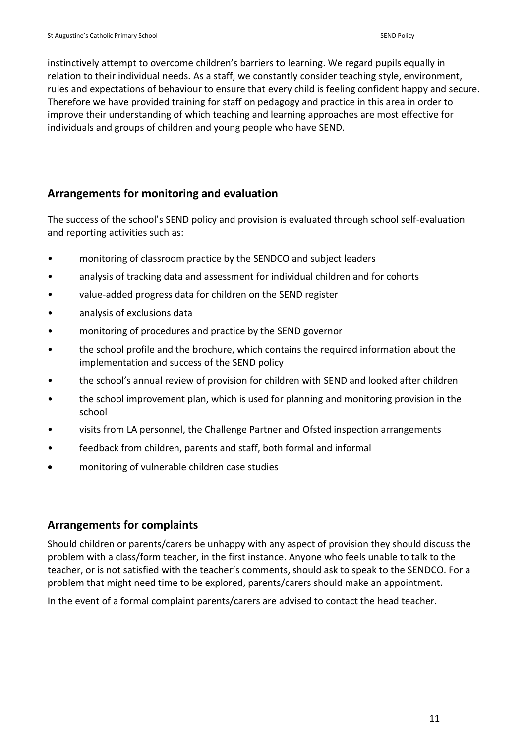instinctively attempt to overcome children's barriers to learning. We regard pupils equally in relation to their individual needs. As a staff, we constantly consider teaching style, environment, rules and expectations of behaviour to ensure that every child is feeling confident happy and secure. Therefore we have provided training for staff on pedagogy and practice in this area in order to improve their understanding of which teaching and learning approaches are most effective for individuals and groups of children and young people who have SEND.

## **Arrangements for monitoring and evaluation**

The success of the school's SEND policy and provision is evaluated through school self-evaluation and reporting activities such as:

- monitoring of classroom practice by the SENDCO and subject leaders
- analysis of tracking data and assessment for individual children and for cohorts
- value-added progress data for children on the SEND register
- analysis of exclusions data
- monitoring of procedures and practice by the SEND governor
- the school profile and the brochure, which contains the required information about the implementation and success of the SEND policy
- the school's annual review of provision for children with SEND and looked after children
- the school improvement plan, which is used for planning and monitoring provision in the school
- visits from LA personnel, the Challenge Partner and Ofsted inspection arrangements
- feedback from children, parents and staff, both formal and informal
- monitoring of vulnerable children case studies

## **Arrangements for complaints**

Should children or parents/carers be unhappy with any aspect of provision they should discuss the problem with a class/form teacher, in the first instance. Anyone who feels unable to talk to the teacher, or is not satisfied with the teacher's comments, should ask to speak to the SENDCO. For a problem that might need time to be explored, parents/carers should make an appointment.

In the event of a formal complaint parents/carers are advised to contact the head teacher.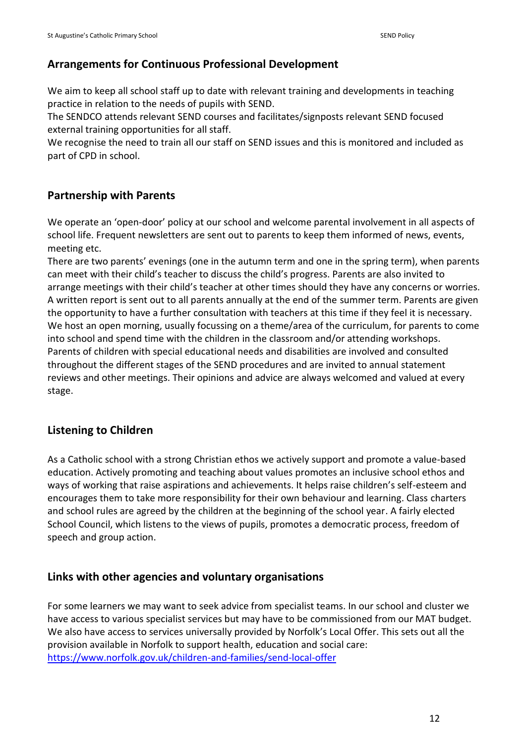## **Arrangements for Continuous Professional Development**

We aim to keep all school staff up to date with relevant training and developments in teaching practice in relation to the needs of pupils with SEND.

The SENDCO attends relevant SEND courses and facilitates/signposts relevant SEND focused external training opportunities for all staff.

We recognise the need to train all our staff on SEND issues and this is monitored and included as part of CPD in school.

## **Partnership with Parents**

We operate an 'open-door' policy at our school and welcome parental involvement in all aspects of school life. Frequent newsletters are sent out to parents to keep them informed of news, events, meeting etc.

There are two parents' evenings (one in the autumn term and one in the spring term), when parents can meet with their child's teacher to discuss the child's progress. Parents are also invited to arrange meetings with their child's teacher at other times should they have any concerns or worries. A written report is sent out to all parents annually at the end of the summer term. Parents are given the opportunity to have a further consultation with teachers at this time if they feel it is necessary. We host an open morning, usually focussing on a theme/area of the curriculum, for parents to come into school and spend time with the children in the classroom and/or attending workshops. Parents of children with special educational needs and disabilities are involved and consulted throughout the different stages of the SEND procedures and are invited to annual statement reviews and other meetings. Their opinions and advice are always welcomed and valued at every stage.

## **Listening to Children**

As a Catholic school with a strong Christian ethos we actively support and promote a value-based education. Actively promoting and teaching about values promotes an inclusive school ethos and ways of working that raise aspirations and achievements. It helps raise children's self-esteem and encourages them to take more responsibility for their own behaviour and learning. Class charters and school rules are agreed by the children at the beginning of the school year. A fairly elected School Council, which listens to the views of pupils, promotes a democratic process, freedom of speech and group action.

## **Links with other agencies and voluntary organisations**

For some learners we may want to seek advice from specialist teams. In our school and cluster we have access to various specialist services but may have to be commissioned from our MAT budget. We also have access to services universally provided by Norfolk's Local Offer. This sets out all the provision available in Norfolk to support health, education and social care: <https://www.norfolk.gov.uk/children-and-families/send-local-offer>